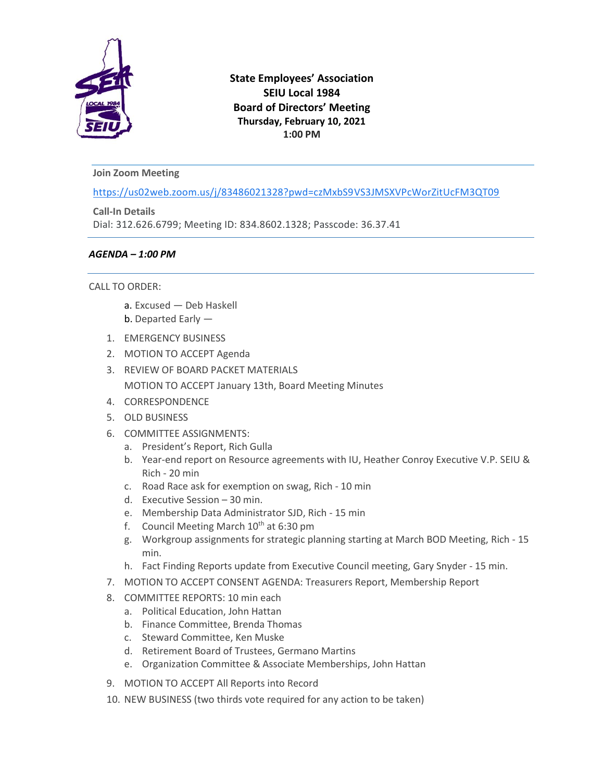

# **State Employees' Association SEIU Local 1984 Board of Directors' Meeting Thursday, February 10, 2021 1:00 PM**

### **Join Zoom Meeting**

[https://us02web.zoom.us/j/83486021328?pwd=czMxbS9VS3JMSXVPcWorZitUcFM3QT09](https://www.google.com/url?q=https://us02web.zoom.us/j/83486021328?pwd%3DczMxbS9VS3JMSXVPcWorZitUcFM3QT09&sa=D&source=calendar&ust=1625678194422000&usg=AOvVaw0nRqMARe94VRb2c7JL9DTg)

**Call-In Details** Dial: 312.626.6799; Meeting ID: 834.8602.1328; Passcode: 36.37.41

#### *AGENDA – 1:00 PM*

#### CALL TO ORDER:

- a. Excused Deb Haskell
- b. Departed Early —
- 1. EMERGENCY BUSINESS
- 2. MOTION TO ACCEPT Agenda
- 3. REVIEW OF BOARD PACKET MATERIALS MOTION TO ACCEPT January 13th, Board Meeting Minutes
- 4. CORRESPONDENCE
- 5. OLD BUSINESS
- 6. COMMITTEE ASSIGNMENTS:
	- a. President's Report, Rich Gulla
	- b. Year-end report on Resource agreements with IU, Heather Conroy Executive V.P. SEIU & Rich - 20 min
	- c. Road Race ask for exemption on swag, Rich 10 min
	- d. Executive Session 30 min.
	- e. Membership Data Administrator SJD, Rich 15 min
	- f. Council Meeting March  $10^{th}$  at 6:30 pm
	- g. Workgroup assignments for strategic planning starting at March BOD Meeting, Rich 15 min.
	- h. Fact Finding Reports update from Executive Council meeting, Gary Snyder 15 min.
- 7. MOTION TO ACCEPT CONSENT AGENDA: Treasurers Report, Membership Report
- 8. COMMITTEE REPORTS: 10 min each
	- a. Political Education, John Hattan
		- b. Finance Committee, Brenda Thomas
		- c. Steward Committee, Ken Muske
		- d. Retirement Board of Trustees, Germano Martins
		- e. Organization Committee & Associate Memberships, John Hattan
- 9. MOTION TO ACCEPT All Reports into Record
- 10. NEW BUSINESS (two thirds vote required for any action to be taken)